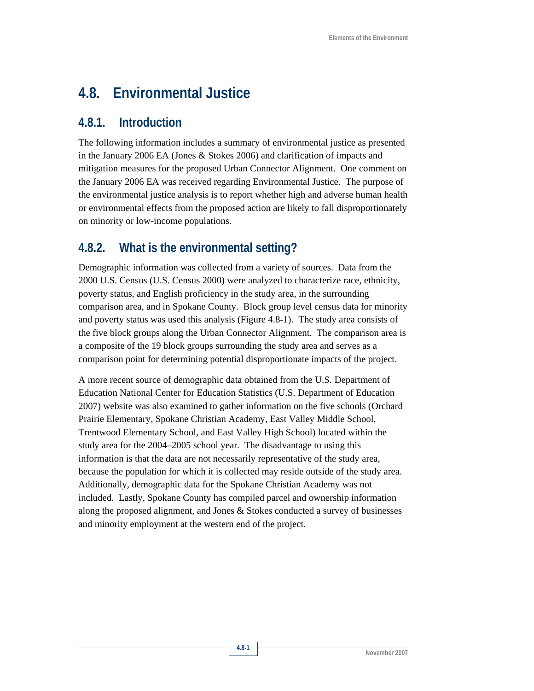# **4.8. Environmental Justice**

### **4.8.1. Introduction**

The following information includes a summary of environmental justice as presented in the January 2006 EA (Jones & Stokes 2006) and clarification of impacts and mitigation measures for the proposed Urban Connector Alignment. One comment on the January 2006 EA was received regarding Environmental Justice. The purpose of the environmental justice analysis is to report whether high and adverse human health or environmental effects from the proposed action are likely to fall disproportionately on minority or low-income populations.

## **4.8.2. What is the environmental setting?**

Demographic information was collected from a variety of sources. Data from the 2000 U.S. Census (U.S. Census 2000) were analyzed to characterize race, ethnicity, poverty status, and English proficiency in the study area, in the surrounding comparison area, and in Spokane County. Block group level census data for minority and poverty status was used this analysis (Figure 4.8-1). The study area consists of the five block groups along the Urban Connector Alignment. The comparison area is a composite of the 19 block groups surrounding the study area and serves as a comparison point for determining potential disproportionate impacts of the project.

A more recent source of demographic data obtained from the U.S. Department of Education National Center for Education Statistics (U.S. Department of Education 2007) website was also examined to gather information on the five schools (Orchard Prairie Elementary, Spokane Christian Academy, East Valley Middle School, Trentwood Elementary School, and East Valley High School) located within the study area for the 2004–2005 school year. The disadvantage to using this information is that the data are not necessarily representative of the study area, because the population for which it is collected may reside outside of the study area. Additionally, demographic data for the Spokane Christian Academy was not included. Lastly, Spokane County has compiled parcel and ownership information along the proposed alignment, and Jones & Stokes conducted a survey of businesses and minority employment at the western end of the project.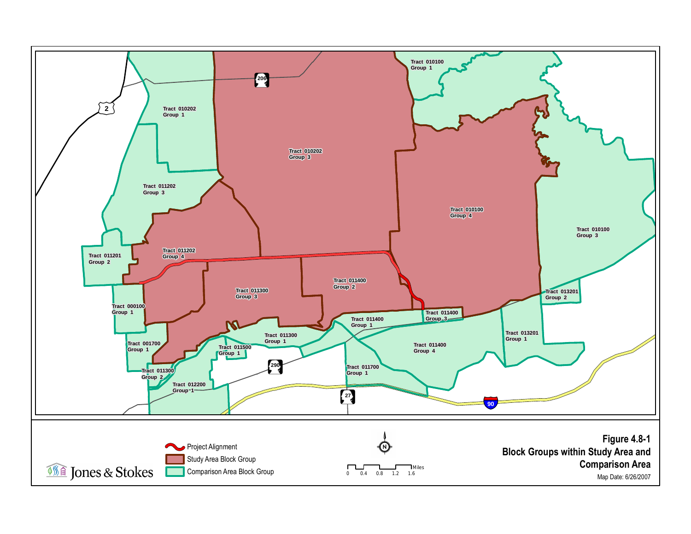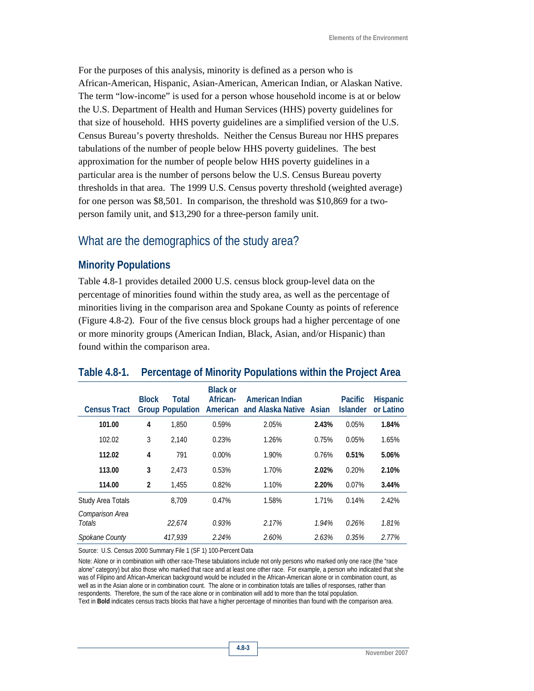For the purposes of this analysis, minority is defined as a person who is African-American, Hispanic, Asian-American, American Indian, or Alaskan Native. The term "low-income" is used for a person whose household income is at or below the U.S. Department of Health and Human Services (HHS) poverty guidelines for that size of household. HHS poverty guidelines are a simplified version of the U.S. Census Bureau's poverty thresholds. Neither the Census Bureau nor HHS prepares tabulations of the number of people below HHS poverty guidelines. The best approximation for the number of people below HHS poverty guidelines in a particular area is the number of persons below the U.S. Census Bureau poverty thresholds in that area. The 1999 U.S. Census poverty threshold (weighted average) for one person was \$8,501. In comparison, the threshold was \$10,869 for a twoperson family unit, and \$13,290 for a three-person family unit.

### What are the demographics of the study area?

#### **Minority Populations**

Table 4.8-1 provides detailed 2000 U.S. census block group-level data on the percentage of minorities found within the study area, as well as the percentage of minorities living in the comparison area and Spokane County as points of reference (Figure 4.8-2). Four of the five census block groups had a higher percentage of one or more minority groups (American Indian, Black, Asian, and/or Hispanic) than found within the comparison area.

# **Table 4.8-1. Percentage of Minority Populations within the Project Area**

| <b>Census Tract</b>       | <b>Block</b>   | Total<br><b>Group Population</b> | <b>Black or</b><br>African- | American Indian<br>American and Alaska Native Asian |       | <b>Pacific</b><br><b>Islander</b> | Hispanic<br>or Latino |
|---------------------------|----------------|----------------------------------|-----------------------------|-----------------------------------------------------|-------|-----------------------------------|-----------------------|
| 101.00                    | 4              | 1.850                            | 0.59%                       | 2.05%                                               | 2.43% | 0.05%                             | 1.84%                 |
| 102.02                    | 3              | 2.140                            | 0.23%                       | 1.26%                                               | 0.75% | 0.05%                             | 1.65%                 |
| 112.02                    | 4              | 791                              | $0.00\%$                    | 1.90%                                               | 0.76% | 0.51%                             | 5.06%                 |
| 113.00                    | 3              | 2.473                            | 0.53%                       | 1.70%                                               | 2.02% | 0.20%                             | 2.10%                 |
| 114.00                    | $\overline{2}$ | 1.455                            | 0.82%                       | 1.10%                                               | 2.20% | 0.07%                             | 3.44%                 |
| Study Area Totals         |                | 8.709                            | 0.47%                       | 1.58%                                               | 1.71% | 0.14%                             | 2.42%                 |
| Comparison Area<br>Totals |                | 22.674                           | 0.93%                       | 2.17%                                               | 1.94% | 0.26%                             | 1.81%                 |
| Spokane County            |                | 417,939                          | 2.24%                       | 2.60%                                               | 2.63% | 0.35%                             | 2.77%                 |

Source: U.S. Census 2000 Summary File 1 (SF 1) 100-Percent Data

Note: Alone or in combination with other race-These tabulations include not only persons who marked only one race (the "race alone" category) but also those who marked that race and at least one other race. For example, a person who indicated that she was of Filipino and African-American background would be included in the African-American alone or in combination count, as well as in the Asian alone or in combination count. The alone or in combination totals are tallies of responses, rather than respondents. Therefore, the sum of the race alone or in combination will add to more than the total population.

Text in **Bold** indicates census tracts blocks that have a higher percentage of minorities than found with the comparison area.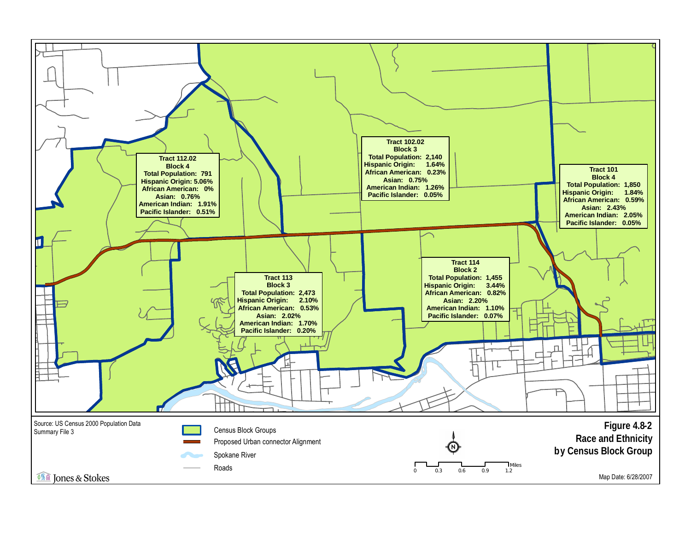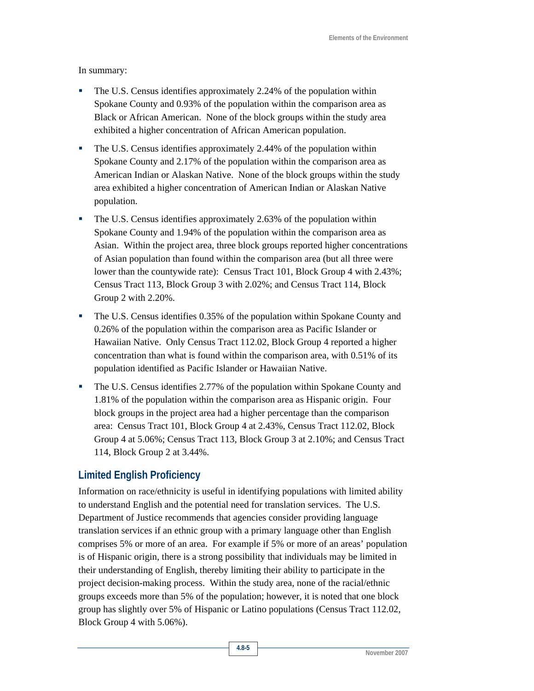#### In summary:

- The U.S. Census identifies approximately 2.24% of the population within Spokane County and 0.93% of the population within the comparison area as Black or African American. None of the block groups within the study area exhibited a higher concentration of African American population.
- The U.S. Census identifies approximately 2.44% of the population within Spokane County and 2.17% of the population within the comparison area as American Indian or Alaskan Native. None of the block groups within the study area exhibited a higher concentration of American Indian or Alaskan Native population.
- The U.S. Census identifies approximately 2.63% of the population within Spokane County and 1.94% of the population within the comparison area as Asian. Within the project area, three block groups reported higher concentrations of Asian population than found within the comparison area (but all three were lower than the countywide rate): Census Tract 101, Block Group 4 with 2.43%; Census Tract 113, Block Group 3 with 2.02%; and Census Tract 114, Block Group 2 with 2.20%.
- The U.S. Census identifies 0.35% of the population within Spokane County and 0.26% of the population within the comparison area as Pacific Islander or Hawaiian Native. Only Census Tract 112.02, Block Group 4 reported a higher concentration than what is found within the comparison area, with 0.51% of its population identified as Pacific Islander or Hawaiian Native.
- The U.S. Census identifies 2.77% of the population within Spokane County and 1.81% of the population within the comparison area as Hispanic origin. Four block groups in the project area had a higher percentage than the comparison area: Census Tract 101, Block Group 4 at 2.43%, Census Tract 112.02, Block Group 4 at 5.06%; Census Tract 113, Block Group 3 at 2.10%; and Census Tract 114, Block Group 2 at 3.44%.

#### **Limited English Proficiency**

Information on race/ethnicity is useful in identifying populations with limited ability to understand English and the potential need for translation services. The U.S. Department of Justice recommends that agencies consider providing language translation services if an ethnic group with a primary language other than English comprises 5% or more of an area. For example if 5% or more of an areas' population is of Hispanic origin, there is a strong possibility that individuals may be limited in their understanding of English, thereby limiting their ability to participate in the project decision-making process. Within the study area, none of the racial/ethnic groups exceeds more than 5% of the population; however, it is noted that one block group has slightly over 5% of Hispanic or Latino populations (Census Tract 112.02, Block Group 4 with 5.06%).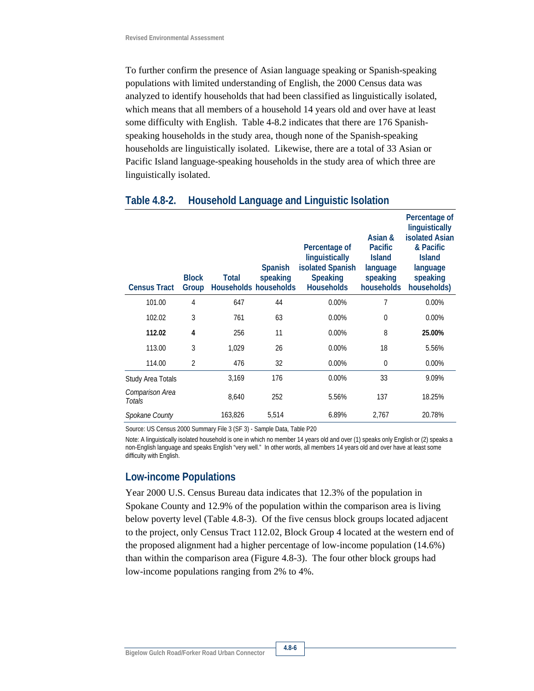To further confirm the presence of Asian language speaking or Spanish-speaking populations with limited understanding of English, the 2000 Census data was analyzed to identify households that had been classified as linguistically isolated, which means that all members of a household 14 years old and over have at least some difficulty with English. Table 4-8.2 indicates that there are 176 Spanishspeaking households in the study area, though none of the Spanish-speaking households are linguistically isolated. Likewise, there are a total of 33 Asian or Pacific Island language-speaking households in the study area of which three are linguistically isolated.

| <b>Census Tract</b>       | <b>Block</b><br>Group | Total   | <b>Spanish</b><br>speaking<br>Households households | Percentage of<br>linguistically<br>isolated Spanish<br><b>Speaking</b><br><b>Households</b> | Asian &<br><b>Pacific</b><br><b>Island</b><br>language<br>speaking<br>households | Percentage of<br>linguistically<br><b>isolated Asian</b><br>& Pacific<br><b>Island</b><br>language<br>speaking<br>households) |
|---------------------------|-----------------------|---------|-----------------------------------------------------|---------------------------------------------------------------------------------------------|----------------------------------------------------------------------------------|-------------------------------------------------------------------------------------------------------------------------------|
| 101.00                    | 4                     | 647     | 44                                                  | 0.00%                                                                                       | 7                                                                                | 0.00%                                                                                                                         |
| 102.02                    | 3                     | 761     | 63                                                  | 0.00%                                                                                       | 0                                                                                | $0.00\%$                                                                                                                      |
| 112.02                    | 4                     | 256     | 11                                                  | 0.00%                                                                                       | 8                                                                                | 25.00%                                                                                                                        |
| 113.00                    | 3                     | 1,029   | 26                                                  | $0.00\%$                                                                                    | 18                                                                               | 5.56%                                                                                                                         |
| 114.00                    | $\overline{2}$        | 476     | 32                                                  | 0.00%                                                                                       | 0                                                                                | 0.00%                                                                                                                         |
| Study Area Totals         |                       | 3,169   | 176                                                 | 0.00%                                                                                       | 33                                                                               | 9.09%                                                                                                                         |
| Comparison Area<br>Totals |                       | 8,640   | 252                                                 | 5.56%                                                                                       | 137                                                                              | 18.25%                                                                                                                        |
| Spokane County            |                       | 163,826 | 5,514                                               | 6.89%                                                                                       | 2,767                                                                            | 20.78%                                                                                                                        |

#### **Table 4.8-2. Household Language and Linguistic Isolation**

Source: US Census 2000 Summary File 3 (SF 3) - Sample Data, Table P20

Note: A linguistically isolated household is one in which no member 14 years old and over (1) speaks only English or (2) speaks a non-English language and speaks English "very well." In other words, all members 14 years old and over have at least some difficulty with English.

#### **Low-income Populations**

Year 2000 U.S. Census Bureau data indicates that 12.3% of the population in Spokane County and 12.9% of the population within the comparison area is living below poverty level (Table 4.8-3). Of the five census block groups located adjacent to the project, only Census Tract 112.02, Block Group 4 located at the western end of the proposed alignment had a higher percentage of low-income population (14.6%) than within the comparison area (Figure 4.8-3). The four other block groups had low-income populations ranging from 2% to 4%.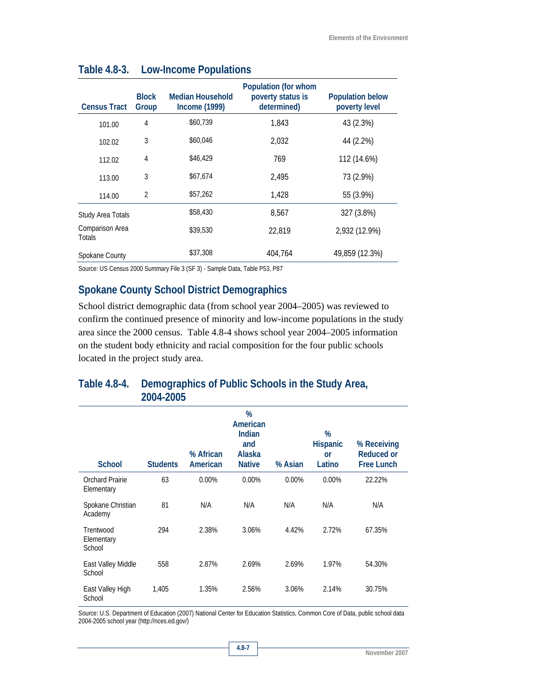| <b>Census Tract</b>       | <b>Block</b><br>Group | Median Household<br><b>Income (1999)</b> | Population (for whom<br>poverty status is<br>determined) | <b>Population below</b><br>poverty level |
|---------------------------|-----------------------|------------------------------------------|----------------------------------------------------------|------------------------------------------|
| 101.00                    | 4                     | \$60.739                                 | 1,843                                                    | 43 (2.3%)                                |
| 102.02                    | 3                     | \$60,046                                 | 2.032                                                    | 44 (2.2%)                                |
| 112.02                    | 4                     | \$46,429                                 | 769                                                      | 112 (14.6%)                              |
| 113.00                    | 3                     | \$67,674                                 | 2,495                                                    | 73 (2.9%)                                |
| 114.00                    | $\overline{2}$        | \$57,262                                 | 1.428                                                    | 55 (3.9%)                                |
| Study Area Totals         |                       | \$58,430                                 | 8.567                                                    | 327 (3.8%)                               |
| Comparison Area<br>Totals |                       | \$39,530                                 | 22,819                                                   | 2,932 (12.9%)                            |
| Spokane County            |                       | \$37,308                                 | 404.764                                                  | 49,859 (12.3%)                           |

### **Table 4.8-3. Low-Income Populations**

Source: US Census 2000 Summary File 3 (SF 3) - Sample Data, Table P53, P87

### **Spokane County School District Demographics**

School district demographic data (from school year 2004–2005) was reviewed to confirm the continued presence of minority and low-income populations in the study area since the 2000 census. Table 4.8-4 shows school year 2004–2005 information on the student body ethnicity and racial composition for the four public schools located in the project study area.

### **Table 4.8-4. Demographics of Public Schools in the Study Area, 2004-2005**

| <b>School</b>                     | <b>Students</b> | % African<br>American | %<br>American<br>Indian<br>and<br>Alaska<br><b>Native</b> | % Asian  | %<br><b>Hispanic</b><br>or<br>Latino | % Receiving<br>Reduced or<br><b>Free Lunch</b> |
|-----------------------------------|-----------------|-----------------------|-----------------------------------------------------------|----------|--------------------------------------|------------------------------------------------|
| Orchard Prairie<br>Elementary     | 63              | $0.00\%$              | $0.00\%$                                                  | $0.00\%$ | 0.00%                                | 22.22%                                         |
| Spokane Christian<br>Academy      | 81              | N/A                   | N/A                                                       | N/A      | N/A                                  | N/A                                            |
| Trentwood<br>Elementary<br>School | 294             | 2.38%                 | 3.06%                                                     | 4.42%    | 2.72%                                | 67.35%                                         |
| East Valley Middle<br>School      | 558             | 2.87%                 | 2.69%                                                     | 2.69%    | 1.97%                                | 54.30%                                         |
| East Valley High<br>School        | 1,405           | 1.35%                 | 2.56%                                                     | 3.06%    | 2.14%                                | 30.75%                                         |

Source: U.S. Department of Education (2007) National Center for Education Statistics, Common Core of Data, public school data 2004-2005 school year (http://nces.ed.gov/)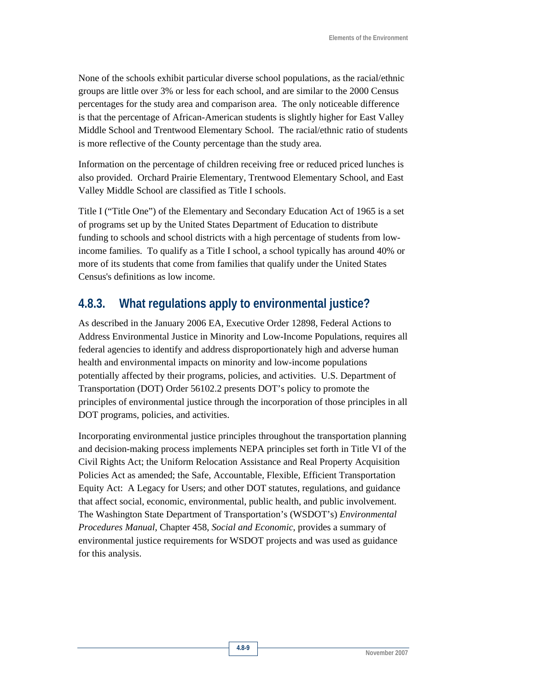None of the schools exhibit particular diverse school populations, as the racial/ethnic groups are little over 3% or less for each school, and are similar to the 2000 Census percentages for the study area and comparison area. The only noticeable difference is that the percentage of African-American students is slightly higher for East Valley Middle School and Trentwood Elementary School. The racial/ethnic ratio of students is more reflective of the County percentage than the study area.

Information on the percentage of children receiving free or reduced priced lunches is also provided. Orchard Prairie Elementary, Trentwood Elementary School, and East Valley Middle School are classified as Title I schools.

Title I ("Title One") of the Elementary and Secondary Education Act of 1965 is a set of programs set up by the United States Department of Education to distribute funding to schools and school districts with a high percentage of students from lowincome families. To qualify as a Title I school, a school typically has around 40% or more of its students that come from families that qualify under the United States Census's definitions as low income.

## **4.8.3. What regulations apply to environmental justice?**

As described in the January 2006 EA, Executive Order 12898, Federal Actions to Address Environmental Justice in Minority and Low-Income Populations, requires all federal agencies to identify and address disproportionately high and adverse human health and environmental impacts on minority and low-income populations potentially affected by their programs, policies, and activities. U.S. Department of Transportation (DOT) Order 56102.2 presents DOT's policy to promote the principles of environmental justice through the incorporation of those principles in all DOT programs, policies, and activities.

Incorporating environmental justice principles throughout the transportation planning and decision-making process implements NEPA principles set forth in Title VI of the Civil Rights Act; the Uniform Relocation Assistance and Real Property Acquisition Policies Act as amended; the Safe, Accountable, Flexible, Efficient Transportation Equity Act: A Legacy for Users; and other DOT statutes, regulations, and guidance that affect social, economic, environmental, public health, and public involvement. The Washington State Department of Transportation's (WSDOT's) *Environmental Procedures Manual*, Chapter 458, *Social and Economic*, provides a summary of environmental justice requirements for WSDOT projects and was used as guidance for this analysis.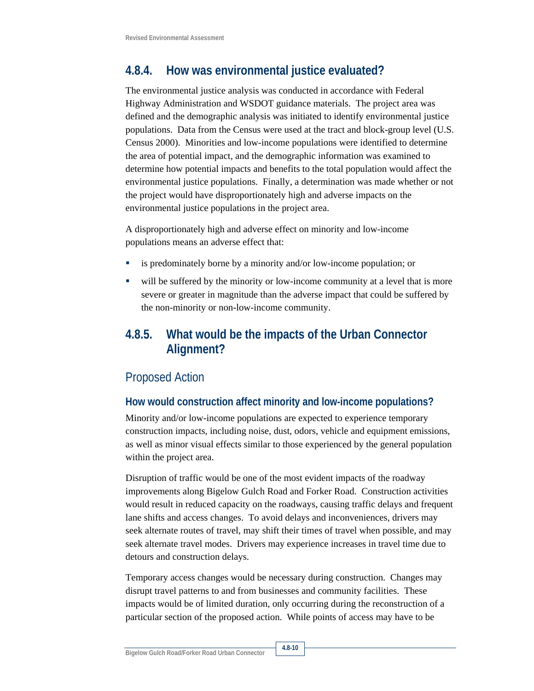# **4.8.4. How was environmental justice evaluated?**

The environmental justice analysis was conducted in accordance with Federal Highway Administration and WSDOT guidance materials. The project area was defined and the demographic analysis was initiated to identify environmental justice populations. Data from the Census were used at the tract and block-group level (U.S. Census 2000). Minorities and low-income populations were identified to determine the area of potential impact, and the demographic information was examined to determine how potential impacts and benefits to the total population would affect the environmental justice populations. Finally, a determination was made whether or not the project would have disproportionately high and adverse impacts on the environmental justice populations in the project area.

A disproportionately high and adverse effect on minority and low-income populations means an adverse effect that:

- is predominately borne by a minority and/or low-income population; or
- will be suffered by the minority or low-income community at a level that is more severe or greater in magnitude than the adverse impact that could be suffered by the non-minority or non-low-income community.

# **4.8.5. What would be the impacts of the Urban Connector Alignment?**

## Proposed Action

### **How would construction affect minority and low-income populations?**

Minority and/or low-income populations are expected to experience temporary construction impacts, including noise, dust, odors, vehicle and equipment emissions, as well as minor visual effects similar to those experienced by the general population within the project area.

Disruption of traffic would be one of the most evident impacts of the roadway improvements along Bigelow Gulch Road and Forker Road. Construction activities would result in reduced capacity on the roadways, causing traffic delays and frequent lane shifts and access changes. To avoid delays and inconveniences, drivers may seek alternate routes of travel, may shift their times of travel when possible, and may seek alternate travel modes. Drivers may experience increases in travel time due to detours and construction delays.

Temporary access changes would be necessary during construction. Changes may disrupt travel patterns to and from businesses and community facilities. These impacts would be of limited duration, only occurring during the reconstruction of a particular section of the proposed action. While points of access may have to be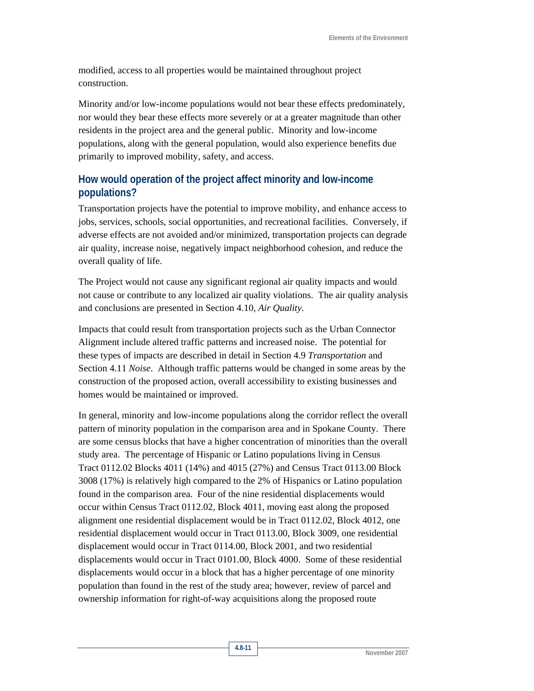modified, access to all properties would be maintained throughout project construction.

Minority and/or low-income populations would not bear these effects predominately, nor would they bear these effects more severely or at a greater magnitude than other residents in the project area and the general public. Minority and low-income populations, along with the general population, would also experience benefits due primarily to improved mobility, safety, and access.

### **How would operation of the project affect minority and low-income populations?**

Transportation projects have the potential to improve mobility, and enhance access to jobs, services, schools, social opportunities, and recreational facilities. Conversely, if adverse effects are not avoided and/or minimized, transportation projects can degrade air quality, increase noise, negatively impact neighborhood cohesion, and reduce the overall quality of life.

The Project would not cause any significant regional air quality impacts and would not cause or contribute to any localized air quality violations. The air quality analysis and conclusions are presented in Section 4.10, *Air Quality*.

Impacts that could result from transportation projects such as the Urban Connector Alignment include altered traffic patterns and increased noise. The potential for these types of impacts are described in detail in Section 4.9 *Transportation* and Section 4.11 *Noise*. Although traffic patterns would be changed in some areas by the construction of the proposed action, overall accessibility to existing businesses and homes would be maintained or improved.

In general, minority and low-income populations along the corridor reflect the overall pattern of minority population in the comparison area and in Spokane County. There are some census blocks that have a higher concentration of minorities than the overall study area. The percentage of Hispanic or Latino populations living in Census Tract 0112.02 Blocks 4011 (14%) and 4015 (27%) and Census Tract 0113.00 Block 3008 (17%) is relatively high compared to the 2% of Hispanics or Latino population found in the comparison area. Four of the nine residential displacements would occur within Census Tract 0112.02, Block 4011, moving east along the proposed alignment one residential displacement would be in Tract 0112.02, Block 4012, one residential displacement would occur in Tract 0113.00, Block 3009, one residential displacement would occur in Tract 0114.00, Block 2001, and two residential displacements would occur in Tract 0101.00, Block 4000. Some of these residential displacements would occur in a block that has a higher percentage of one minority population than found in the rest of the study area; however, review of parcel and ownership information for right-of-way acquisitions along the proposed route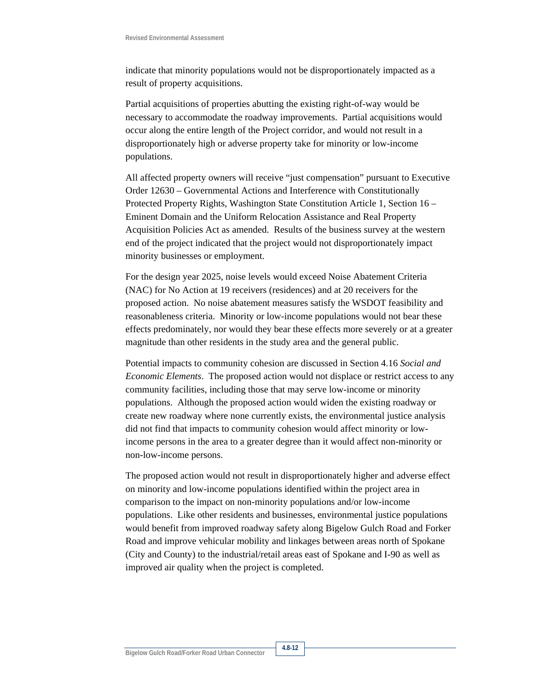indicate that minority populations would not be disproportionately impacted as a result of property acquisitions.

Partial acquisitions of properties abutting the existing right-of-way would be necessary to accommodate the roadway improvements. Partial acquisitions would occur along the entire length of the Project corridor, and would not result in a disproportionately high or adverse property take for minority or low-income populations.

All affected property owners will receive "just compensation" pursuant to Executive Order 12630 – Governmental Actions and Interference with Constitutionally Protected Property Rights, Washington State Constitution Article 1, Section 16 – Eminent Domain and the Uniform Relocation Assistance and Real Property Acquisition Policies Act as amended. Results of the business survey at the western end of the project indicated that the project would not disproportionately impact minority businesses or employment.

For the design year 2025, noise levels would exceed Noise Abatement Criteria (NAC) for No Action at 19 receivers (residences) and at 20 receivers for the proposed action. No noise abatement measures satisfy the WSDOT feasibility and reasonableness criteria. Minority or low-income populations would not bear these effects predominately, nor would they bear these effects more severely or at a greater magnitude than other residents in the study area and the general public.

Potential impacts to community cohesion are discussed in Section 4.16 *Social and Economic Elements*. The proposed action would not displace or restrict access to any community facilities, including those that may serve low-income or minority populations. Although the proposed action would widen the existing roadway or create new roadway where none currently exists, the environmental justice analysis did not find that impacts to community cohesion would affect minority or lowincome persons in the area to a greater degree than it would affect non-minority or non-low-income persons.

The proposed action would not result in disproportionately higher and adverse effect on minority and low-income populations identified within the project area in comparison to the impact on non-minority populations and/or low-income populations. Like other residents and businesses, environmental justice populations would benefit from improved roadway safety along Bigelow Gulch Road and Forker Road and improve vehicular mobility and linkages between areas north of Spokane (City and County) to the industrial/retail areas east of Spokane and I-90 as well as improved air quality when the project is completed.